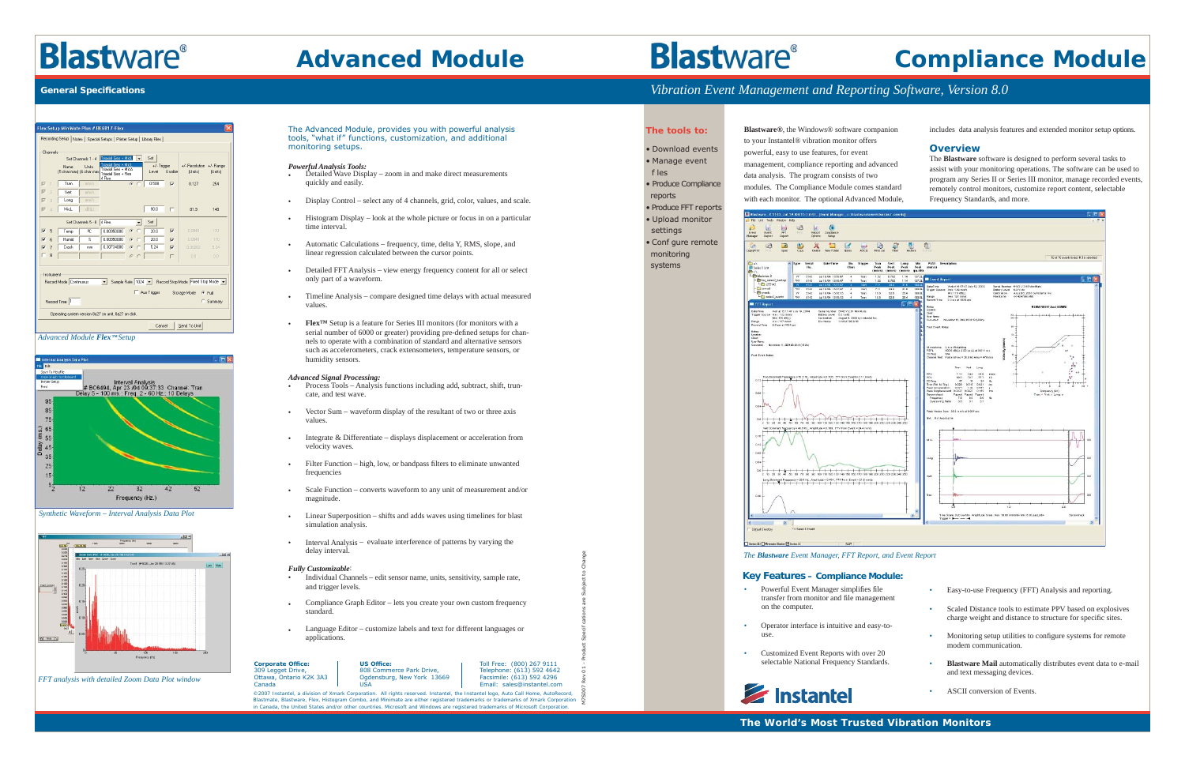*On the Practical Edge of Technology On the practical edge of technology The World's Most Trusted Vibration Monitors* **www.instantel.com**

**Corporate Office:** 309 Legget Drive, Ottawa, Ontario K2K 3A3 Canada

*©2007 Instantel, a division of Xmark Corporation. All rights reserved. Instantel, the Instantel logo, Auto Call Home, AutoRecord, Blastmate, Blastware, Flex, Histogram Combo, and Minimate are either registered trademarks or trademarks of Xmark Corporation in Canada, the United States and/or other countries. Microsoft and Windows are registered trademarks of Microsoft Corporation.*

Toll Free: (800) 267 9111 Telephone: (613) 592 4642 Facsimile: (613) 592 4296 Email: sales@instantel.comOgdensburg, New York 13669

808 Commerce Park Drive,

US Office:

USA

M7S007 Rev 01 - Product Speci

f cations are Subject to Change

## **Blastware<sup>®</sup> Compliance Module**

#### The Advanced Module, provides you with powerful analysis tools, "what if" functions, customization, and additional monitoring setups.

#### *Powerful Analysis Tools:*

- Detailed Wave Display zoom in and make direct measurements quickly and easily.
- Display Control select any of 4 channels, grid, color, values, and scale.
- Histogram Display look at the whole picture or focus in on a particular time interval.
- Automatic Calculations frequency, time, delta Y, RMS, slope, and linear regression calculated between the cursor points.
- Detailed FFT Analysis view energy frequency content for all or select only part of a waveform.
- Timeline Analysis compare designed time delays with actual measured values.
- **Flex<sup>TM</sup>** Setup is a feature for Series III monitors (for monitors with a serial number of 6000 or greater) providing pre-defined setups for channels to operate with a combination of standard and alternative sensors such as accelerometers, crack extensometers, temperature sensors, or humidity sensors.

#### *Advanced Signal Processing:*

- transfer from monitor and file management on the computer. • Operator interface is intuitive and easy-touse.selectable National Frequency Standards. • Easy-to-use Frequency (FFT) Analysis and reporting. • Scaled Distance tools to estimate PPV based on explosives charge weight and distance to structure for specific sites. • Monitoring setup utilities to configure systems for remote modem communication.• **Blastware Mail** automatically distributes event data to e-mail and text messaging devices. • ASCII conversion of Events.
- Powerful Event Manager simplifies file • Customized Event Reports with over 20
- 



- Process Tools Analysis functions including add, subtract, shift, truncate, and test wave.
- Vector Sum waveform display of the resultant of two or three axis values.
- Integrate & Differentiate displays displacement or acceleration from velocity waves.
- Filter Function high, low, or bandpass filters to eliminate unwanted frequencies
- Scale Function converts waveform to any unit of measurement and/or magnitude.
- Linear Superposition shifts and adds waves using timelines for blast simulation analysis.
- Interval Analysis evaluate interference of patterns by varying the delay interval.

#### *Fully Customizable*:

- Individual Channels edit sensor name, units, sensitivity, sample rate, and trigger levels.
- Compliance Graph Editor lets you create your own custom frequency standard.
- Language Editor customize labels and text for different languages or applications.

*Advanced Module Flex™Setup*



*Synthetic Waveform – Interval Analysis Data Plot*



*FFT analysis with detailed Zoom Data Plot window*

### *Vibration Event Management and Reporting Software, Version 8.0*

#### **The tools to:**

- Download events
- Manage event f les

• Produce Compliance reports

- Produce FFT reports
- Upload monitor settings

• Conf gure remote monitoring systems

**Blastware®**, the Windows® software companion to your Instantel® vibration monitor offers

powerful, easy to use features, for event

management, compliance reporting and advanced data analysis. The program consists of two modules. The Compliance Module comes standard with each monitor. The optional Advanced Module, includes data analysis features and extended monitor setup options.

#### **Overview**

The **Blastware** software is designed to perform several tasks to assist with your monitoring operations. The software can be used to program any Series II or Series III monitor, manage recorded events, remotely control monitors, customize report content, selectable Frequency Standards, and more.



#### **Key Features – Compliance Module:**

## **Blastware**®

### **Advanced Module**

#### **General Specifi cations**

| Flex Setup MiniMate Plus # BE6817-Flex<br>×                                                                               |                |                                   |                         |                                                                             |                          |                      |                |                           |                      |
|---------------------------------------------------------------------------------------------------------------------------|----------------|-----------------------------------|-------------------------|-----------------------------------------------------------------------------|--------------------------|----------------------|----------------|---------------------------|----------------------|
| Recording Setup   Notes   Special Setups   Printer Setup   Library Files                                                  |                |                                   |                         |                                                                             |                          |                      |                |                           |                      |
| Channels<br>Triaxial Geo + MicL<br>Set<br>Set Channels 1 - 4                                                              |                |                                   |                         |                                                                             |                          |                      |                |                           |                      |
|                                                                                                                           |                | Name<br>[5 char max] [6 char max] | Units                   | Triaxial Geo + MioL<br>Triaxial Gen + MicA<br>Triaxial Geo + Flex<br>4 Flex | $\overline{\phantom{0}}$ | +/- Trigger<br>Level | Enable         | +/- Resolution<br>(Units) | +/- Range<br>[Units] |
| $\overline{\vee}$                                                                                                         | $\mathbf{f}$   | Tran                              | mm/s                    |                                                                             | $G$ $C$                  | 0.508                | $\overline{v}$ | 0.127                     | 254                  |
| $\overline{\vee}$                                                                                                         | $\overline{c}$ | Vert                              | mm/s                    |                                                                             |                          |                      |                |                           |                      |
| ⊽                                                                                                                         | $\overline{3}$ | Long                              | mm/s                    |                                                                             |                          |                      |                |                           |                      |
| $\overline{\vee}$                                                                                                         | $\Delta$       | MicL                              | dB(L)                   |                                                                             |                          | 90.0                 | г              | 81.9                      | 148                  |
| Set<br>Set Channels 5 - 8<br>4 Flex<br>$\blacktriangledown$                                                               |                |                                   |                         |                                                                             |                          |                      |                |                           |                      |
| ⊽                                                                                                                         | 5              | Temp                              | 旷                       | 0.00950000                                                                  | $G$ $G$                  | 200                  | $\overline{V}$ | 0.0848                    | 170                  |
| $\overline{V}$                                                                                                            | ĥ              | Humid                             | $\overline{\mathbb{X}}$ | 0.00950000                                                                  | $G$ $G$                  | 20.0                 | $\overline{v}$ | 0.0848                    | 170                  |
| $\overline{\mathbf{v}}$                                                                                                   | $\overline{7}$ | Crack                             | mm                      | 0.30734000                                                                  | $G$ $C$                  | 524                  | $\overline{M}$ | 0.00262                   | 5.24                 |
|                                                                                                                           | 8              |                                   |                         |                                                                             | $G$ $C$                  |                      | г              | 0.01                      | 0.0                  |
| Instrument<br>Sample Rate 1024 - Record Stop Mode Fixed Stop Mode -<br>Record Mode Continuous<br>$\overline{\phantom{a}}$ |                |                                   |                         |                                                                             |                          |                      |                |                           |                      |
| Aux Trigger<br>Storage Mode<br>$G$ Full<br>Record Time  1<br>C Summary                                                    |                |                                   |                         |                                                                             |                          |                      |                |                           |                      |
| Operating system version 8a27 on unit. 8a27 on disk.                                                                      |                |                                   |                         |                                                                             |                          |                      |                |                           |                      |
| Send To Unit<br>Cancel                                                                                                    |                |                                   |                         |                                                                             |                          |                      |                |                           |                      |
|                                                                                                                           |                |                                   |                         |                                                                             |                          |                      |                |                           |                      |